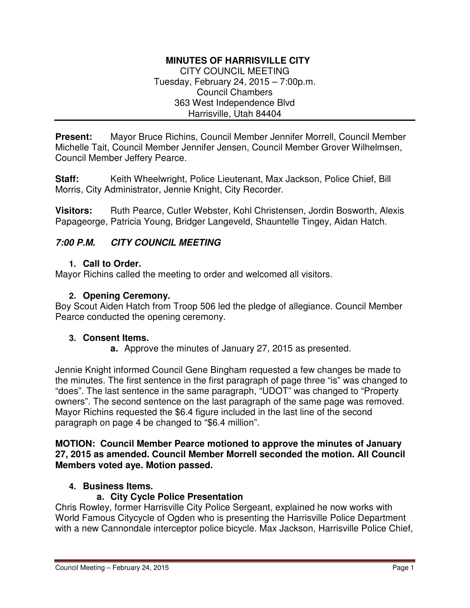# **MINUTES OF HARRISVILLE CITY**

CITY COUNCIL MEETING Tuesday, February 24, 2015 – 7:00p.m. Council Chambers 363 West Independence Blvd Harrisville, Utah 84404

**Present:** Mayor Bruce Richins, Council Member Jennifer Morrell, Council Member Michelle Tait, Council Member Jennifer Jensen, Council Member Grover Wilhelmsen, Council Member Jeffery Pearce.

**Staff:** Keith Wheelwright, Police Lieutenant, Max Jackson, Police Chief, Bill Morris, City Administrator, Jennie Knight, City Recorder.

**Visitors:** Ruth Pearce, Cutler Webster, Kohl Christensen, Jordin Bosworth, Alexis Papageorge, Patricia Young, Bridger Langeveld, Shauntelle Tingey, Aidan Hatch.

## **7:00 P.M. CITY COUNCIL MEETING**

#### **1. Call to Order.**

Mayor Richins called the meeting to order and welcomed all visitors.

#### **2. Opening Ceremony.**

Boy Scout Aiden Hatch from Troop 506 led the pledge of allegiance. Council Member Pearce conducted the opening ceremony.

#### **3. Consent Items.**

**a.** Approve the minutes of January 27, 2015 as presented.

Jennie Knight informed Council Gene Bingham requested a few changes be made to the minutes. The first sentence in the first paragraph of page three "is" was changed to "does". The last sentence in the same paragraph, "UDOT" was changed to "Property owners". The second sentence on the last paragraph of the same page was removed. Mayor Richins requested the \$6.4 figure included in the last line of the second paragraph on page 4 be changed to "\$6.4 million".

#### **MOTION: Council Member Pearce motioned to approve the minutes of January 27, 2015 as amended. Council Member Morrell seconded the motion. All Council Members voted aye. Motion passed.**

## **4. Business Items.**

## **a. City Cycle Police Presentation**

Chris Rowley, former Harrisville City Police Sergeant, explained he now works with World Famous Citycycle of Ogden who is presenting the Harrisville Police Department with a new Cannondale interceptor police bicycle. Max Jackson, Harrisville Police Chief,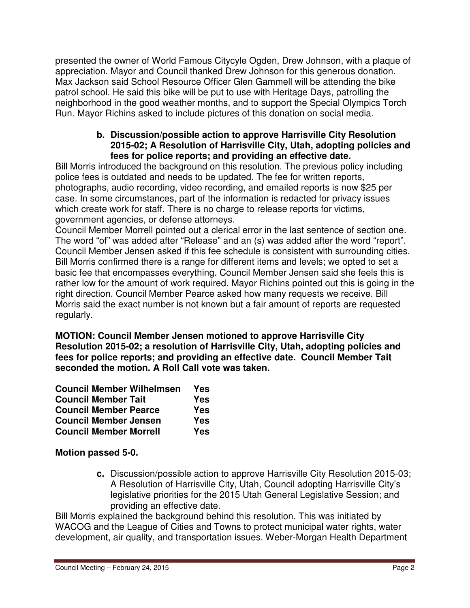presented the owner of World Famous Citycyle Ogden, Drew Johnson, with a plaque of appreciation. Mayor and Council thanked Drew Johnson for this generous donation. Max Jackson said School Resource Officer Glen Gammell will be attending the bike patrol school. He said this bike will be put to use with Heritage Days, patrolling the neighborhood in the good weather months, and to support the Special Olympics Torch Run. Mayor Richins asked to include pictures of this donation on social media.

#### **b. Discussion/possible action to approve Harrisville City Resolution 2015-02; A Resolution of Harrisville City, Utah, adopting policies and fees for police reports; and providing an effective date.**

Bill Morris introduced the background on this resolution. The previous policy including police fees is outdated and needs to be updated. The fee for written reports, photographs, audio recording, video recording, and emailed reports is now \$25 per case. In some circumstances, part of the information is redacted for privacy issues which create work for staff. There is no charge to release reports for victims, government agencies, or defense attorneys.

Council Member Morrell pointed out a clerical error in the last sentence of section one. The word "of" was added after "Release" and an (s) was added after the word "report". Council Member Jensen asked if this fee schedule is consistent with surrounding cities. Bill Morris confirmed there is a range for different items and levels; we opted to set a basic fee that encompasses everything. Council Member Jensen said she feels this is rather low for the amount of work required. Mayor Richins pointed out this is going in the right direction. Council Member Pearce asked how many requests we receive. Bill Morris said the exact number is not known but a fair amount of reports are requested regularly.

**MOTION: Council Member Jensen motioned to approve Harrisville City Resolution 2015-02; a resolution of Harrisville City, Utah, adopting policies and fees for police reports; and providing an effective date. Council Member Tait seconded the motion. A Roll Call vote was taken.** 

| <b>Council Member Wilhelmsen</b> | Yes        |
|----------------------------------|------------|
| <b>Council Member Tait</b>       | Yes        |
| <b>Council Member Pearce</b>     | <b>Yes</b> |
| <b>Council Member Jensen</b>     | Yes        |
| <b>Council Member Morrell</b>    | Yes        |

**Motion passed 5-0.**

**c.** Discussion/possible action to approve Harrisville City Resolution 2015-03; A Resolution of Harrisville City, Utah, Council adopting Harrisville City's legislative priorities for the 2015 Utah General Legislative Session; and providing an effective date.

Bill Morris explained the background behind this resolution. This was initiated by WACOG and the League of Cities and Towns to protect municipal water rights, water development, air quality, and transportation issues. Weber-Morgan Health Department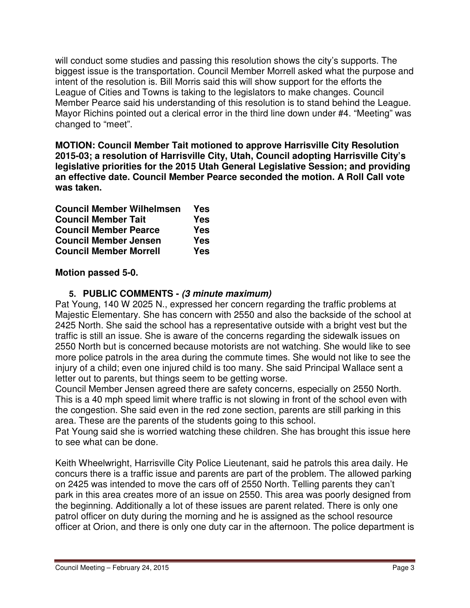will conduct some studies and passing this resolution shows the city's supports. The biggest issue is the transportation. Council Member Morrell asked what the purpose and intent of the resolution is. Bill Morris said this will show support for the efforts the League of Cities and Towns is taking to the legislators to make changes. Council Member Pearce said his understanding of this resolution is to stand behind the League. Mayor Richins pointed out a clerical error in the third line down under #4. "Meeting" was changed to "meet".

**MOTION: Council Member Tait motioned to approve Harrisville City Resolution 2015-03; a resolution of Harrisville City, Utah, Council adopting Harrisville City's legislative priorities for the 2015 Utah General Legislative Session; and providing an effective date. Council Member Pearce seconded the motion. A Roll Call vote was taken.** 

| <b>Council Member Wilhelmsen</b> | Yes        |
|----------------------------------|------------|
| <b>Council Member Tait</b>       | <b>Yes</b> |
| <b>Council Member Pearce</b>     | Yes        |
| <b>Council Member Jensen</b>     | <b>Yes</b> |
| <b>Council Member Morrell</b>    | <b>Yes</b> |

## **Motion passed 5-0.**

## **5. PUBLIC COMMENTS - (3 minute maximum)**

Pat Young, 140 W 2025 N., expressed her concern regarding the traffic problems at Majestic Elementary. She has concern with 2550 and also the backside of the school at 2425 North. She said the school has a representative outside with a bright vest but the traffic is still an issue. She is aware of the concerns regarding the sidewalk issues on 2550 North but is concerned because motorists are not watching. She would like to see more police patrols in the area during the commute times. She would not like to see the injury of a child; even one injured child is too many. She said Principal Wallace sent a letter out to parents, but things seem to be getting worse.

Council Member Jensen agreed there are safety concerns, especially on 2550 North. This is a 40 mph speed limit where traffic is not slowing in front of the school even with the congestion. She said even in the red zone section, parents are still parking in this area. These are the parents of the students going to this school.

Pat Young said she is worried watching these children. She has brought this issue here to see what can be done.

Keith Wheelwright, Harrisville City Police Lieutenant, said he patrols this area daily. He concurs there is a traffic issue and parents are part of the problem. The allowed parking on 2425 was intended to move the cars off of 2550 North. Telling parents they can't park in this area creates more of an issue on 2550. This area was poorly designed from the beginning. Additionally a lot of these issues are parent related. There is only one patrol officer on duty during the morning and he is assigned as the school resource officer at Orion, and there is only one duty car in the afternoon. The police department is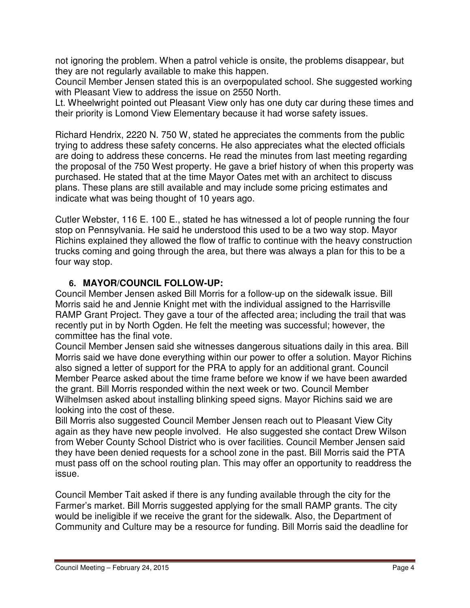not ignoring the problem. When a patrol vehicle is onsite, the problems disappear, but they are not regularly available to make this happen.

Council Member Jensen stated this is an overpopulated school. She suggested working with Pleasant View to address the issue on 2550 North.

Lt. Wheelwright pointed out Pleasant View only has one duty car during these times and their priority is Lomond View Elementary because it had worse safety issues.

Richard Hendrix, 2220 N. 750 W, stated he appreciates the comments from the public trying to address these safety concerns. He also appreciates what the elected officials are doing to address these concerns. He read the minutes from last meeting regarding the proposal of the 750 West property. He gave a brief history of when this property was purchased. He stated that at the time Mayor Oates met with an architect to discuss plans. These plans are still available and may include some pricing estimates and indicate what was being thought of 10 years ago.

Cutler Webster, 116 E. 100 E., stated he has witnessed a lot of people running the four stop on Pennsylvania. He said he understood this used to be a two way stop. Mayor Richins explained they allowed the flow of traffic to continue with the heavy construction trucks coming and going through the area, but there was always a plan for this to be a four way stop.

# **6. MAYOR/COUNCIL FOLLOW-UP:**

Council Member Jensen asked Bill Morris for a follow-up on the sidewalk issue. Bill Morris said he and Jennie Knight met with the individual assigned to the Harrisville RAMP Grant Project. They gave a tour of the affected area; including the trail that was recently put in by North Ogden. He felt the meeting was successful; however, the committee has the final vote.

Council Member Jensen said she witnesses dangerous situations daily in this area. Bill Morris said we have done everything within our power to offer a solution. Mayor Richins also signed a letter of support for the PRA to apply for an additional grant. Council Member Pearce asked about the time frame before we know if we have been awarded the grant. Bill Morris responded within the next week or two. Council Member Wilhelmsen asked about installing blinking speed signs. Mayor Richins said we are looking into the cost of these.

Bill Morris also suggested Council Member Jensen reach out to Pleasant View City again as they have new people involved. He also suggested she contact Drew Wilson from Weber County School District who is over facilities. Council Member Jensen said they have been denied requests for a school zone in the past. Bill Morris said the PTA must pass off on the school routing plan. This may offer an opportunity to readdress the issue.

Council Member Tait asked if there is any funding available through the city for the Farmer's market. Bill Morris suggested applying for the small RAMP grants. The city would be ineligible if we receive the grant for the sidewalk. Also, the Department of Community and Culture may be a resource for funding. Bill Morris said the deadline for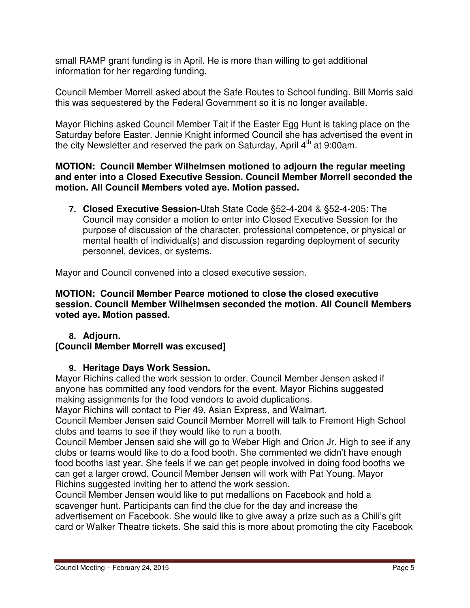small RAMP grant funding is in April. He is more than willing to get additional information for her regarding funding.

Council Member Morrell asked about the Safe Routes to School funding. Bill Morris said this was sequestered by the Federal Government so it is no longer available.

Mayor Richins asked Council Member Tait if the Easter Egg Hunt is taking place on the Saturday before Easter. Jennie Knight informed Council she has advertised the event in the city Newsletter and reserved the park on Saturday, April  $4<sup>th</sup>$  at 9:00am.

#### **MOTION: Council Member Wilhelmsen motioned to adjourn the regular meeting and enter into a Closed Executive Session. Council Member Morrell seconded the motion. All Council Members voted aye. Motion passed.**

**7. Closed Executive Session-**Utah State Code §52-4-204 & §52-4-205: The Council may consider a motion to enter into Closed Executive Session for the purpose of discussion of the character, professional competence, or physical or mental health of individual(s) and discussion regarding deployment of security personnel, devices, or systems.

Mayor and Council convened into a closed executive session.

**MOTION: Council Member Pearce motioned to close the closed executive session. Council Member Wilhelmsen seconded the motion. All Council Members voted aye. Motion passed.** 

## **8. Adjourn.**

## **[Council Member Morrell was excused]**

## **9. Heritage Days Work Session.**

Mayor Richins called the work session to order. Council Member Jensen asked if anyone has committed any food vendors for the event. Mayor Richins suggested making assignments for the food vendors to avoid duplications.

Mayor Richins will contact to Pier 49, Asian Express, and Walmart.

Council Member Jensen said Council Member Morrell will talk to Fremont High School clubs and teams to see if they would like to run a booth.

Council Member Jensen said she will go to Weber High and Orion Jr. High to see if any clubs or teams would like to do a food booth. She commented we didn't have enough food booths last year. She feels if we can get people involved in doing food booths we can get a larger crowd. Council Member Jensen will work with Pat Young. Mayor Richins suggested inviting her to attend the work session.

Council Member Jensen would like to put medallions on Facebook and hold a scavenger hunt. Participants can find the clue for the day and increase the advertisement on Facebook. She would like to give away a prize such as a Chili's gift card or Walker Theatre tickets. She said this is more about promoting the city Facebook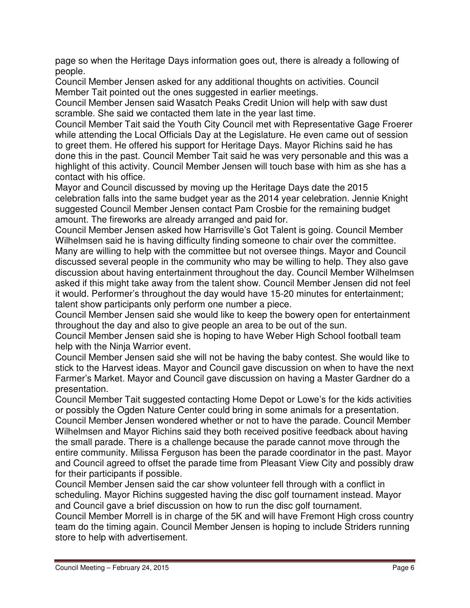page so when the Heritage Days information goes out, there is already a following of people.

Council Member Jensen asked for any additional thoughts on activities. Council Member Tait pointed out the ones suggested in earlier meetings.

Council Member Jensen said Wasatch Peaks Credit Union will help with saw dust scramble. She said we contacted them late in the year last time.

Council Member Tait said the Youth City Council met with Representative Gage Froerer while attending the Local Officials Day at the Legislature. He even came out of session to greet them. He offered his support for Heritage Days. Mayor Richins said he has done this in the past. Council Member Tait said he was very personable and this was a highlight of this activity. Council Member Jensen will touch base with him as she has a contact with his office.

Mayor and Council discussed by moving up the Heritage Days date the 2015 celebration falls into the same budget year as the 2014 year celebration. Jennie Knight suggested Council Member Jensen contact Pam Crosbie for the remaining budget amount. The fireworks are already arranged and paid for.

Council Member Jensen asked how Harrisville's Got Talent is going. Council Member Wilhelmsen said he is having difficulty finding someone to chair over the committee. Many are willing to help with the committee but not oversee things. Mayor and Council discussed several people in the community who may be willing to help. They also gave discussion about having entertainment throughout the day. Council Member Wilhelmsen asked if this might take away from the talent show. Council Member Jensen did not feel it would. Performer's throughout the day would have 15-20 minutes for entertainment; talent show participants only perform one number a piece.

Council Member Jensen said she would like to keep the bowery open for entertainment throughout the day and also to give people an area to be out of the sun.

Council Member Jensen said she is hoping to have Weber High School football team help with the Ninja Warrior event.

Council Member Jensen said she will not be having the baby contest. She would like to stick to the Harvest ideas. Mayor and Council gave discussion on when to have the next Farmer's Market. Mayor and Council gave discussion on having a Master Gardner do a presentation.

Council Member Tait suggested contacting Home Depot or Lowe's for the kids activities or possibly the Ogden Nature Center could bring in some animals for a presentation. Council Member Jensen wondered whether or not to have the parade. Council Member Wilhelmsen and Mayor Richins said they both received positive feedback about having the small parade. There is a challenge because the parade cannot move through the entire community. Milissa Ferguson has been the parade coordinator in the past. Mayor and Council agreed to offset the parade time from Pleasant View City and possibly draw for their participants if possible.

Council Member Jensen said the car show volunteer fell through with a conflict in scheduling. Mayor Richins suggested having the disc golf tournament instead. Mayor and Council gave a brief discussion on how to run the disc golf tournament. Council Member Morrell is in charge of the 5K and will have Fremont High cross country

team do the timing again. Council Member Jensen is hoping to include Striders running store to help with advertisement.